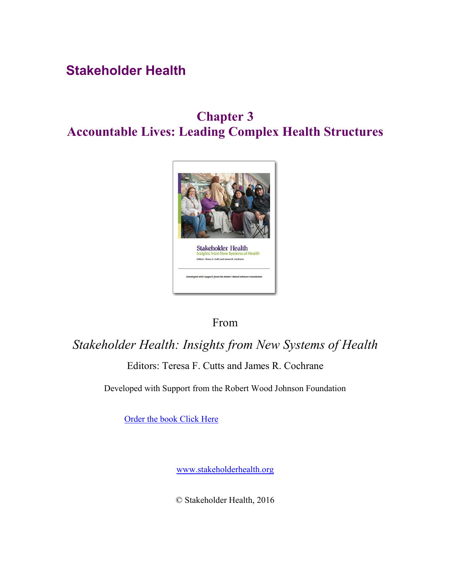# **Stakeholder Health**

# **Chapter 3 Accountable Lives: Leading Complex Health Structures**



## From

# *Stakeholder Health: Insights from New Systems of Health*

## Editors: Teresa F. Cutts and James R. Cochrane

Developed with Support from the Robert Wood Johnson Foundation

Order the [book Click Here](https://www.amazon.com/Stakeholder-Health-Insights-New-Systems/dp/069270728X?ie=UTF8&keywords=%26%2334%3Bstakeholder%20health%26%2334%3B&qid=1464881294&ref_=sr_1_2&s=books&sr=1-2)

[www.stakeholderhealth.org](http://www.stakeholderhealth.org/)

© Stakeholder Health, 2016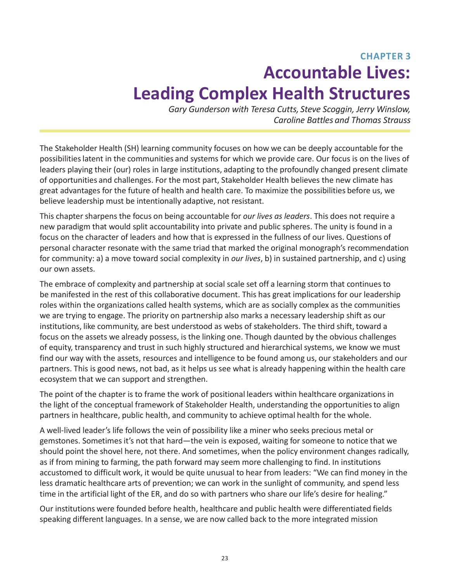# **CHAPTER 3 Accountable Lives: Leading Complex Health Structures**

*Gary Gunderson with Teresa Cutts, Steve Scoggin, Jerry Winslow, Caroline Battles and Thomas Strauss*

The Stakeholder Health (SH) learning community focuses on how we can be deeply accountable for the possibilitieslatent in the communities and systems for which we provide care. Our focus is on the lives of leaders playing their (our) roles in large institutions, adapting to the profoundly changed present climate of opportunities and challenges. For the most part, Stakeholder Health believes the new climate has great advantages for the future of health and health care. To maximize the possibilities before us, we believe leadership must be intentionally adaptive, not resistant.

This chapter sharpens the focus on being accountable for *our lives as leaders*. This does not require a new paradigm that would split accountability into private and public spheres. The unity is found in a focus on the character of leaders and how that is expressed in the fullness of our lives. Questions of personal character resonate with the same triad that marked the original monograph's recommendation for community: a) a move toward social complexity in *our lives*, b) in sustained partnership, and c) using our own assets.

The embrace of complexity and partnership at social scale set off a learning storm that continuesto be manifested in the rest of this collaborative document. This has great implications for our leadership roles within the organizations called health systems, which are as socially complex as the communities we are trying to engage. The priority on partnership also marks a necessary leadership shift as our institutions, like community, are best understood as webs of stakeholders. The third shift, toward a focus on the assets we already possess, is the linking one. Though daunted by the obvious challenges of equity, transparency and trust in such highly structured and hierarchical systems, we know we must find our way with the assets, resources and intelligence to be found among us, our stakeholders and our partners. This is good news, not bad, as it helps us see what is already happening within the health care ecosystem that we can support and strengthen.

The point of the chapter is to frame the work of positional leaders within healthcare organizations in the light of the conceptual framework of Stakeholder Health, understanding the opportunitiesto align partners in healthcare, public health, and community to achieve optimal health for the whole.

A well-lived leader's life follows the vein of possibility like a miner who seeks precious metal or gemstones. Sometimesit's not that hard—the vein is exposed, waiting for someone to notice that we should point the shovel here, not there. And sometimes, when the policy environment changes radically, as if from mining to farming, the path forward may seem more challenging to find. In institutions accustomed to difficult work, it would be quite unusual to hear from leaders: "We can find money in the less dramatic healthcare arts of prevention; we can work in the sunlight of community, and spend less time in the artificial light of the ER, and do so with partners who share our life's desire for healing."

Our institutions were founded before health, healthcare and public health were differentiated fields speaking different languages. In a sense, we are now called back to the more integrated mission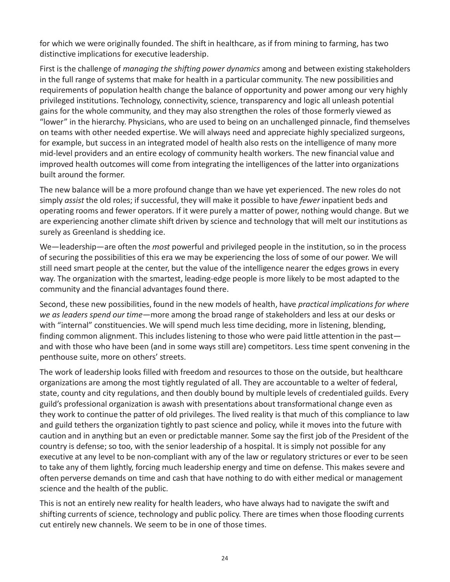for which we were originally founded. The shift in healthcare, as if from mining to farming, has two distinctive implications for executive leadership.

First is the challenge of *managing the shifting power dynamics* among and between existing stakeholders in the full range of systems that make for health in a particular community. The new possibilities and requirements of population health change the balance of opportunity and power among our very highly privileged institutions. Technology, connectivity, science, transparency and logic all unleash potential gains for the whole community, and they may also strengthen the roles of those formerly viewed as "lower" in the hierarchy. Physicians, who are used to being on an unchallenged pinnacle, find themselves on teams with other needed expertise. We will always need and appreciate highly specialized surgeons, for example, but success in an integrated model of health also rests on the intelligence of many more mid-level providers and an entire ecology of community health workers. The new financial value and improved health outcomes will come from integrating the intelligences of the latter into organizations built around the former.

The new balance will be a more profound change than we have yet experienced. The new roles do not simply *assist* the old roles; if successful, they will make it possible to have *fewer* inpatient beds and operating rooms and fewer operators. If it were purely a matter of power, nothing would change. But we are experiencing another climate shift driven by science and technology that will melt our institutions as surely as Greenland is shedding ice.

We—leadership—are often the *most* powerful and privileged people in the institution, so in the process of securing the possibilities of this era we may be experiencing the loss of some of our power. We will still need smart people at the center, but the value of the intelligence nearer the edges grows in every way. The organization with the smartest, leading-edge people is more likely to be most adapted to the community and the financial advantages found there.

Second, these new possibilities, found in the new models of health, have *practical implicationsfor where we as leaders spend our time*—more among the broad range of stakeholders and less at our desks or with "internal" constituencies. We will spend much less time deciding, more in listening, blending, finding common alignment. This includes listening to those who were paid little attention in the past and with those who have been (and in some ways still are) competitors. Less time spent convening in the penthouse suite, more on others' streets.

The work of leadership looks filled with freedom and resources to those on the outside, but healthcare organizations are among the most tightly regulated of all. They are accountable to a welter of federal, state, county and city regulations, and then doubly bound by multiple levels of credentialed guilds. Every guild's professional organization is awash with presentations about transformational change even as they work to continue the patter of old privileges. The lived reality is that much of this compliance to law and guild tethers the organization tightly to past science and policy, while it moves into the future with caution and in anything but an even or predictable manner. Some say the first job of the President of the country is defense; so too, with the senior leadership of a hospital. It is simply not possible for any executive at any level to be non-compliant with any of the law or regulatory strictures or ever to be seen to take any of them lightly, forcing much leadership energy and time on defense. This makes severe and often perverse demands on time and cash that have nothing to do with either medical or management science and the health of the public.

This is not an entirely new reality for health leaders, who have always had to navigate the swift and shifting currents of science, technology and public policy. There are times when those flooding currents cut entirely new channels. We seem to be in one of those times.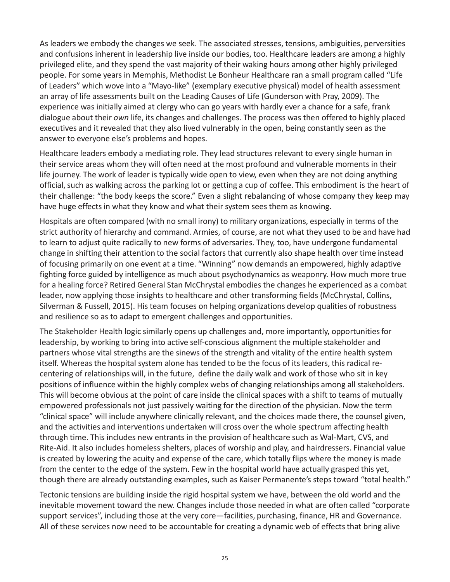As leaders we embody the changes we seek. The associated stresses, tensions, ambiguities, perversities and confusions inherent in leadership live inside our bodies, too. Healthcare leaders are among a highly privileged elite, and they spend the vast majority of their waking hours among other highly privileged people. For some years in Memphis, Methodist Le Bonheur Healthcare ran a small program called "Life of Leaders" which wove into a "Mayo-like" (exemplary executive physical) model of health assessment an array of life assessments built on the Leading Causes of Life (Gunderson with Pray, 2009). The experience was initially aimed at clergy who can go years with hardly ever a chance for a safe, frank dialogue about their *own* life, its changes and challenges. The process was then offered to highly placed executives and it revealed that they also lived vulnerably in the open, being constantly seen as the answer to everyone else's problems and hopes.

Healthcare leaders embody a mediating role. They lead structures relevant to every single human in their service areas whom they will often need at the most profound and vulnerable moments in their life journey. The work of leader is typically wide open to view, even when they are not doing anything official, such as walking across the parking lot or getting a cup of coffee. This embodiment is the heart of their challenge: "the body keeps the score." Even a slight rebalancing of whose company they keep may have huge effects in what they know and what their system sees them as knowing.

Hospitals are often compared (with no small irony) to military organizations, especially in terms of the strict authority of hierarchy and command. Armies, of course, are not what they used to be and have had to learn to adjust quite radically to new forms of adversaries. They, too, have undergone fundamental change in shifting their attention to the social factors that currently also shape health over time instead of focusing primarily on one event at a time. "Winning" now demands an empowered, highly adaptive fighting force guided by intelligence as much about psychodynamics as weaponry. How much more true for a healing force? Retired General Stan McChrystal embodies the changes he experienced as a combat leader, now applying those insights to healthcare and other transforming fields (McChrystal, Collins, Silverman & Fussell, 2015). His team focuses on helping organizations develop qualities of robustness and resilience so as to adapt to emergent challenges and opportunities.

The Stakeholder Health logic similarly opens up challenges and, more importantly, opportunitiesfor leadership, by working to bring into active self-conscious alignment the multiple stakeholder and partners whose vital strengths are the sinews of the strength and vitality of the entire health system itself. Whereas the hospital system alone has tended to be the focus of its leaders, this radical recentering of relationships will, in the future, define the daily walk and work of those who sit in key positions of influence within the highly complex webs of changing relationships among all stakeholders. This will become obvious at the point of care inside the clinical spaces with a shift to teams of mutually empowered professionals not just passively waiting for the direction of the physician. Now the term "clinical space" will include anywhere clinically relevant, and the choices made there, the counsel given, and the activities and interventions undertaken will cross over the whole spectrum affecting health through time. This includes new entrants in the provision of healthcare such as Wal-Mart, CVS, and Rite-Aid. It also includes homeless shelters, places of worship and play, and hairdressers. Financial value is created by lowering the acuity and expense of the care, which totally flips where the money is made from the center to the edge of the system. Few in the hospital world have actually grasped this yet, though there are already outstanding examples, such as Kaiser Permanente's steps toward "total health."

Tectonic tensions are building inside the rigid hospital system we have, between the old world and the inevitable movement toward the new. Changes include those needed in what are often called "corporate support services", including those at the very core—facilities, purchasing, finance, HR and Governance. All of these services now need to be accountable for creating a dynamic web of effects that bring alive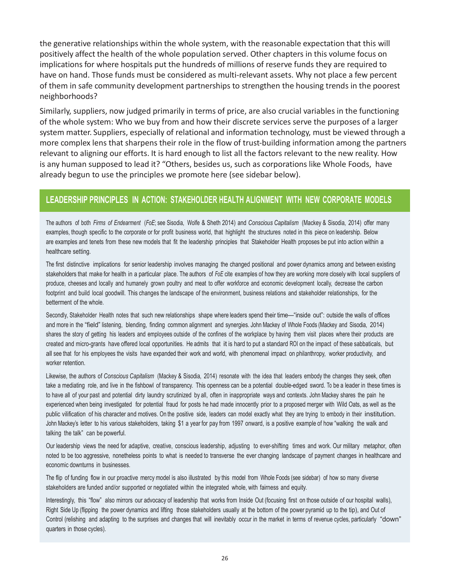the generative relationships within the whole system, with the reasonable expectation that this will positively affect the health of the whole population served. Other chapters in this volume focus on implications for where hospitals put the hundreds of millions of reserve funds they are required to have on hand. Those funds must be considered as multi-relevant assets. Why not place a few percent of them in safe community development partnerships to strengthen the housing trends in the poorest neighborhoods?

Similarly, suppliers, now judged primarily in terms of price, are also crucial variables in the functioning of the whole system: Who we buy from and how their discrete services serve the purposes of a larger system matter. Suppliers, especially of relational and information technology, must be viewed through a more complex lens that sharpens their role in the flow of trust-building information among the partners relevant to aligning our efforts. It is hard enough to list all the factors relevant to the new reality. How is any human supposed to lead it? "Others, besides us, such as corporations like Whole Foods, have already begun to use the principles we promote here (see sidebar below).

#### **LEADERSHIP PRINCIPLES IN ACTION: STAKEHOLDER HEALTH ALIGNMENT WITH NEW CORPORATE MODELS**

The authors of both *Firms of Endearment* (*FoE*; see Sisodia, Wolfe & Sheth 2014) and *Conscious Capitalism* (Mackey & Sisodia, 2014) offer many examples, though specific to the corporate or for profit business world, that highlight the structures noted in this piece on leadership. Below are examples and tenets from these new models that fit the leadership principles that Stakeholder Health proposes be put into action within a healthcare setting.

The first distinctive implications for senior leadership involves managing the changed positional and power dynamics among and between existing stakeholders that make for health in a particular place. The authors of *FoE* cite examples of how they are working more closely with local suppliers of produce, cheeses and locally and humanely grown poultry and meat to offer workforce and economic development locally, decrease the carbon footprint and build local goodwill. This changes the landscape of the environment, business relations and stakeholder relationships, for the betterment of the whole.

Secondly, Stakeholder Health notes that such new relationships shape where leaders spend their time—"inside out": outside the walls of offices and more in the "field" listening, blending, finding common alignment and synergies. John Mackey of Whole Foods (Mackey and Sisodia, 2014) shares the story of getting his leaders and employees outside of the confines of the workplace by having them visit places where their products are created and micro-grants have offered local opportunities. He admits that it is hard to put a standard ROI on the impact of these sabbaticals, but all see that for his employees the visits have expanded their work and world, with phenomenal impact on philanthropy, worker productivity, and worker retention.

Likewise, the authors of *Conscious Capitalism* (Mackey & Sisodia, 2014) resonate with the idea that leaders embody the changes they seek, often take a mediating role, and live in the fishbowl of transparency. This openness can be a potential double-edged sword. To be a leader in these times is to have all of your past and potential dirty laundry scrutinized by all, often in inappropriate ways and contexts. John Mackey shares the pain he experienced when being investigated for potential fraud for posts he had made innocently prior to a proposed merger with Wild Oats, as well as the public vilification of his character and motives. On the positive side, leaders can model exactly what they are trying to embody in their institution. John Mackey's letter to his various stakeholders, taking \$1 a year for pay from 1997 onward, is a positive example of how "walking the walk and talking the talk" can be powerful.

Our leadership views the need for adaptive, creative, conscious leadership, adjusting to ever-shifting times and work. Our military metaphor, often noted to be too aggressive, nonetheless points to what is needed to transverse the ever changing landscape of payment changes in healthcare and economic downturns in businesses.

The flip of funding flow in our proactive mercy model is also illustrated by this model from Whole Foods (see sidebar) of how so many diverse stakeholders are funded and/or supported or negotiated within the integrated whole, with fairness and equity.

Interestingly, this "flow" also mirrors our advocacy of leadership that works from Inside Out (focusing first on those outside of our hospital walls), Right Side Up (flipping the power dynamics and lifting those stakeholders usually at the bottom of the power pyramid up to the tip), and Out of Control (relishing and adapting to the surprises and changes that will inevitably occur in the market in terms of revenue cycles, particularly "down" quarters in those cycles).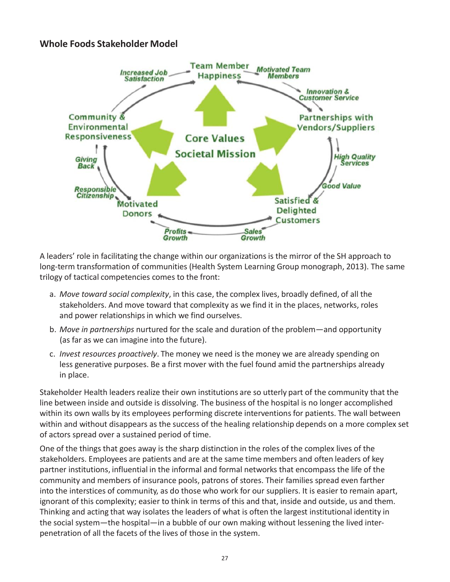### **Whole Foods Stakeholder Model**



A leaders' role in facilitating the change within our organizationsis the mirror of the SH approach to long-term transformation of communities (Health System Learning Group monograph, 2013). The same trilogy of tactical competencies comes to the front:

- a. *Move toward social complexity*, in this case, the complex lives, broadly defined, of all the stakeholders. And move toward that complexity as we find it in the places, networks, roles and power relationships in which we find ourselves.
- b. *Move in partnerships* nurtured for the scale and duration of the problem—and opportunity (as far as we can imagine into the future).
- c. *Invest resources proactively*. The money we need is the money we are already spending on less generative purposes. Be a first mover with the fuel found amid the partnerships already in place.

Stakeholder Health leaders realize their own institutions are so utterly part of the community that the line between inside and outside is dissolving. The business of the hospital is no longer accomplished within its own walls by its employees performing discrete interventions for patients. The wall between within and without disappears as the success of the healing relationship depends on a more complex set of actors spread over a sustained period of time.

One of the things that goes away is the sharp distinction in the roles of the complex lives of the stakeholders. Employees are patients and are at the same time members and often leaders of key partner institutions, influential in the informal and formal networks that encompass the life of the community and members of insurance pools, patrons of stores. Their families spread even farther into the interstices of community, as do those who work for our suppliers. It is easier to remain apart, ignorant of this complexity; easier to think in terms of this and that, inside and outside, us and them. Thinking and acting that way isolates the leaders of what is often the largest institutional identity in the social system—the hospital—in a bubble of our own making without lessening the lived interpenetration of all the facets of the lives of those in the system.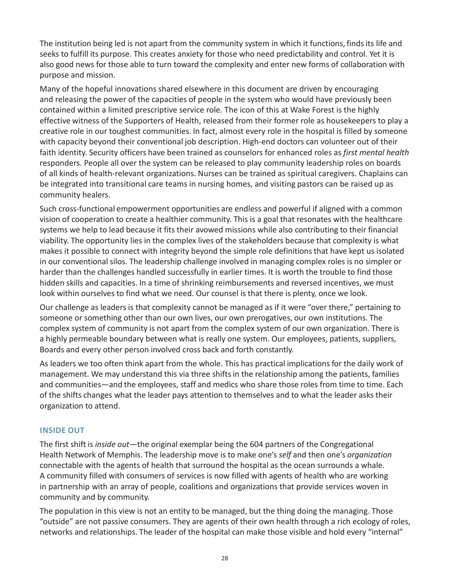The institution being led is not apart from the community system in which it functions, findsits life and seeks to fulfill its purpose. This creates anxiety for those who need predictability and control. Yet it is also good news for those able to turn toward the complexity and enter new forms of collaboration with purpose and mission.

Many of the hopeful innovations shared elsewhere in this document are driven by encouraging and releasing the power of the capacities of people in the system who would have previously been contained within a limited prescriptive service role. The icon of this at Wake Forest is the highly effective witness of the Supporters of Health, released from their former role as housekeepers to play a creative role in our toughest communities. In fact, almost every role in the hospital is filled by someone with capacity beyond their conventional job description. High-end doctors can volunteer out of their faith identity. Security officers have been trained as counselors for enhanced roles as *first mental health* responders. People all over the system can be released to play community leadership roles on boards of all kinds of health-relevant organizations. Nurses can be trained as spiritual caregivers. Chaplains can be integrated into transitional care teams in nursing homes, and visiting pastors can be raised up as community healers.

Such cross-functional empowerment opportunities are endless and powerful if aligned with a common vision of cooperation to create a healthier community. This is a goal that resonates with the healthcare systems we help to lead because it fits their avowed missions while also contributing to their financial viability. The opportunity lies in the complex lives of the stakeholders because that complexity is what makes it possible to connect with integrity beyond the simple role definitionsthat have kept us isolated in our conventional silos. The leadership challenge involved in managing complex roles is no simpler or harder than the challenges handled successfully in earlier times. It is worth the trouble to find those hidden skills and capacities. In a time of shrinking reimbursements and reversed incentives, we must look within ourselves to find what we need. Our counsel is that there is plenty, once we look.

Our challenge as leaders is that complexity cannot be managed as if it were "over there," pertaining to someone or something other than our own lives, our own prerogatives, our own institutions. The complex system of community is not apart from the complex system of our own organization. There is a highly permeable boundary between what is really one system. Our employees, patients, suppliers, Boards and every other person involved cross back and forth constantly.

As leaders we too often think apart from the whole. This has practical implications for the daily work of management. We may understand this via three shiftsin the relationship among the patients, families and communities—and the employees, staff and medics who share those roles from time to time. Each of the shifts changes what the leader pays attention to themselves and to what the leader asks their organization to attend.

#### **INSIDE OUT**

The first shift is *inside out*—the original exemplar being the 604 partners of the Congregational Health Network of Memphis. The leadership move is to make one's *self* and then one's *organization*  connectable with the agents of health that surround the hospital as the ocean surrounds a whale. A community filled with consumers of services is now filled with agents of health who are working in partnership with an array of people, coalitions and organizations that provide services woven in community and by community.

The population in this view is not an entity to be managed, but the thing doing the managing. Those "outside" are not passive consumers. They are agents of their own health through a rich ecology of roles, networks and relationships. The leader of the hospital can make those visible and hold every "internal"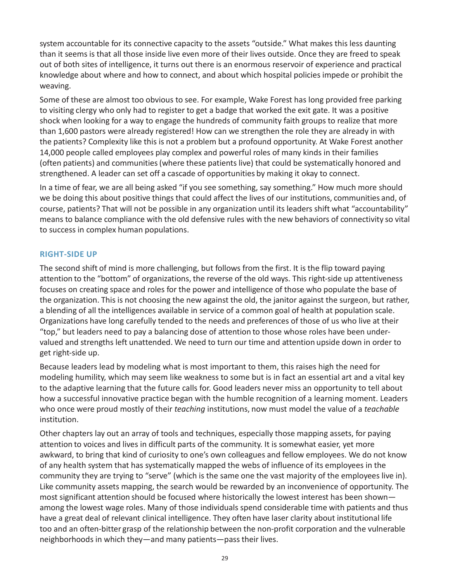system accountable for its connective capacity to the assets "outside." What makes this less daunting than it seems is that all those inside live even more of their lives outside. Once they are freed to speak out of both sites of intelligence, it turns out there is an enormous reservoir of experience and practical knowledge about where and how to connect, and about which hospital policies impede or prohibit the weaving.

Some of these are almost too obvious to see. For example, Wake Forest has long provided free parking to visiting clergy who only had to register to get a badge that worked the exit gate. It was a positive shock when looking for a way to engage the hundreds of community faith groups to realize that more than 1,600 pastors were already registered! How can we strengthen the role they are already in with the patients? Complexity like this is not a problem but a profound opportunity. At Wake Forest another 14,000 people called employees play complex and powerful roles of many kinds in their families (often patients) and communities(where these patients live) that could be systematically honored and strengthened. A leader can set off a cascade of opportunities by making it okay to connect.

In a time of fear, we are all being asked "if you see something, say something." How much more should we be doing this about positive things that could affect the lives of our institutions, communities and, of course, patients? That will not be possible in any organization until its leaders shift what "accountability" means to balance compliance with the old defensive rules with the new behaviors of connectivity so vital to success in complex human populations.

#### **RIGHT-SIDE UP**

The second shift of mind is more challenging, but follows from the first. It is the flip toward paying attention to the "bottom" of organizations, the reverse of the old ways. This right-side up attentiveness focuses on creating space and roles for the power and intelligence of those who populate the base of the organization. This is not choosing the new against the old, the janitor against the surgeon, but rather, a blending of all the intelligences available in service of a common goal of health at population scale. Organizations have long carefully tended to the needs and preferences of those of us who live at their "top," but leaders need to pay a balancing dose of attention to those whose roles have been undervalued and strengths left unattended. We need to turn our time and attention upside down in order to get right-side up.

Because leaders lead by modeling what is most important to them, this raises high the need for modeling humility, which may seem like weakness to some but is in fact an essential art and a vital key to the adaptive learning that the future calls for. Good leaders never miss an opportunity to tell about how a successful innovative practice began with the humble recognition of a learning moment. Leaders who once were proud mostly of their *teaching* institutions, now must model the value of a *teachable*  institution.

Other chapters lay out an array of tools and techniques, especially those mapping assets, for paying attention to voices and lives in difficult parts of the community. It is somewhat easier, yet more awkward, to bring that kind of curiosity to one's own colleagues and fellow employees. We do not know of any health system that has systematically mapped the webs of influence of its employees in the community they are trying to "serve" (which is the same one the vast majority of the employees live in). Like community assets mapping, the search would be rewarded by an inconvenience of opportunity. The most significant attention should be focused where historically the lowest interest has been shown among the lowest wage roles. Many of those individuals spend considerable time with patients and thus have a great deal of relevant clinical intelligence. They often have laser clarity about institutional life too and an often-bitter grasp of the relationship between the non-profit corporation and the vulnerable neighborhoods in which they—and many patients—pass their lives.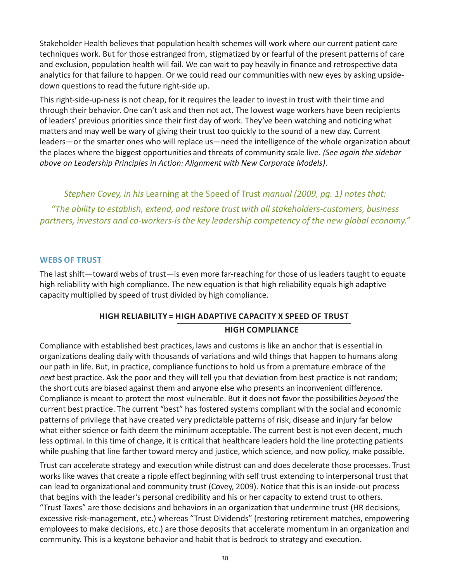Stakeholder Health believes that population health schemes will work where our current patient care techniques work. But for those estranged from, stigmatized by or fearful of the present patterns of care and exclusion, population health will fail. We can wait to pay heavily in finance and retrospective data analytics for that failure to happen. Or we could read our communities with new eyes by asking upsidedown questions to read the future right-side up.

This right-side-up-ness is not cheap, for it requires the leader to invest in trust with their time and through their behavior. One can't ask and then not act. The lowest wage workers have been recipients of leaders' previous priorities since their first day of work. They've been watching and noticing what matters and may well be wary of giving their trust too quickly to the sound of a new day. Current leaders—or the smarter ones who will replace us—need the intelligence of the whole organization about the places where the biggest opportunities and threats of community scale live. *(See again the sidebar above on Leadership Principles in Action: Alignment with New Corporate Models)*.

#### *Stephen Covey, in his* Learning at the Speed of Trust *manual (2009, pg. 1) notes that:*

*"The ability to establish, extend, and restore trust with all stakeholders-customers, business partners, investors and co-workers-is the key leadership competency of the new global economy."*

#### **WEBS OF TRUST**

The last shift—toward webs of trust—is even more far-reaching for those of us leaders taught to equate high reliability with high compliance. The new equation is that high reliability equals high adaptive capacity multiplied by speed of trust divided by high compliance.

### **HIGH RELIABILITY = HIGH ADAPTIVE CAPACITY X SPEED OF TRUST HIGH COMPLIANCE**

Compliance with established best practices, laws and customs is like an anchor that is essential in organizations dealing daily with thousands of variations and wild things that happen to humans along our path in life. But, in practice, compliance functionsto hold us from a premature embrace of the *next* best practice. Ask the poor and they will tell you that deviation from best practice is not random; the short cuts are biased against them and anyone else who presents an inconvenient difference. Compliance is meant to protect the most vulnerable. But it does not favor the possibilities *beyond* the current best practice. The current "best" has fostered systems compliant with the social and economic patterns of privilege that have created very predictable patterns of risk, disease and injury far below what either science or faith deem the minimum acceptable. The current best is not even decent, much less optimal. In this time of change, it is critical that healthcare leaders hold the line protecting patients while pushing that line farther toward mercy and justice, which science, and now policy, make possible.

Trust can accelerate strategy and execution while distrust can and does decelerate those processes. Trust works like waves that create a ripple effect beginning with self trust extending to interpersonal trust that can lead to organizational and community trust (Covey, 2009). Notice that this is an inside-out process that begins with the leader's personal credibility and his or her capacity to extend trust to others. "Trust Taxes" are those decisions and behaviors in an organization that undermine trust (HR decisions, excessive risk-management, etc.) whereas "Trust Dividends" (restoring retirement matches, empowering employees to make decisions, etc.) are those deposits that accelerate momentum in an organization and community. This is a keystone behavior and habit that is bedrock to strategy and execution.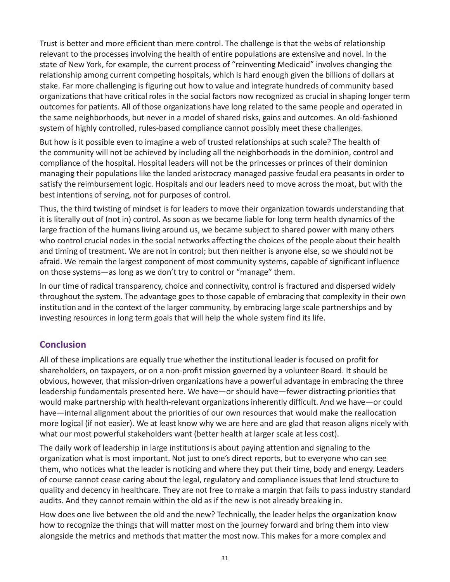Trust is better and more efficient than mere control. The challenge is that the webs of relationship relevant to the processes involving the health of entire populations are extensive and novel. In the state of New York, for example, the current process of "reinventing Medicaid" involves changing the relationship among current competing hospitals, which is hard enough given the billions of dollars at stake. Far more challenging is figuring out how to value and integrate hundreds of community based organizationsthat have critical roles in the social factors now recognized as crucial in shaping longer term outcomes for patients. All of those organizations have long related to the same people and operated in the same neighborhoods, but never in a model of shared risks, gains and outcomes. An old-fashioned system of highly controlled, rules-based compliance cannot possibly meet these challenges.

But how is it possible even to imagine a web of trusted relationships at such scale? The health of the community will not be achieved by including all the neighborhoods in the dominion, control and compliance of the hospital. Hospital leaders will not be the princesses or princes of their dominion managing their populations like the landed aristocracy managed passive feudal era peasants in order to satisfy the reimbursement logic. Hospitals and our leaders need to move across the moat, but with the best intentions of serving, not for purposes of control.

Thus, the third twisting of mindset is for leaders to move their organization towards understanding that it is literally out of (not in) control. As soon as we became liable for long term health dynamics of the large fraction of the humans living around us, we became subject to shared power with many others who control crucial nodes in the social networks affecting the choices of the people about their health and timing of treatment. We are not in control; but then neither is anyone else, so we should not be afraid. We remain the largest component of most community systems, capable of significant influence on those systems—as long as we don't try to control or "manage" them.

In our time of radical transparency, choice and connectivity, control is fractured and dispersed widely throughout the system. The advantage goes to those capable of embracing that complexity in their own institution and in the context of the larger community, by embracing large scale partnerships and by investing resources in long term goals that will help the whole system find its life.

## **Conclusion**

All of these implications are equally true whether the institutional leader is focused on profit for shareholders, on taxpayers, or on a non-profit mission governed by a volunteer Board. It should be obvious, however, that mission-driven organizations have a powerful advantage in embracing the three leadership fundamentals presented here. We have—or should have—fewer distracting prioritiesthat would make partnership with health-relevant organizationsinherently difficult. And we have—or could have—internal alignment about the priorities of our own resources that would make the reallocation more logical (if not easier). We at least know why we are here and are glad that reason aligns nicely with what our most powerful stakeholders want (better health at larger scale at less cost).

The daily work of leadership in large institutions is about paying attention and signaling to the organization what is most important. Not just to one's direct reports, but to everyone who can see them, who notices what the leader is noticing and where they put their time, body and energy. Leaders of course cannot cease caring about the legal, regulatory and compliance issues that lend structure to quality and decency in healthcare. They are not free to make a margin that fails to pass industry standard audits. And they cannot remain within the old as if the new is not already breaking in.

How does one live between the old and the new? Technically, the leader helps the organization know how to recognize the things that will matter most on the journey forward and bring them into view alongside the metrics and methods that matterthe most now. This makes for a more complex and